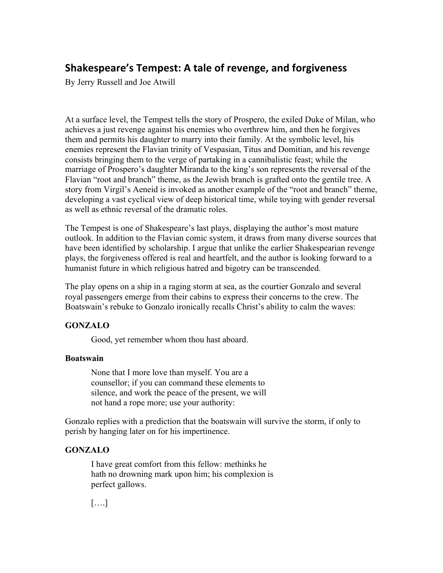# **Shakespeare's Tempest: A tale of revenge, and forgiveness**

By Jerry Russell and Joe Atwill

At a surface level, the Tempest tells the story of Prospero, the exiled Duke of Milan, who achieves a just revenge against his enemies who overthrew him, and then he forgives them and permits his daughter to marry into their family. At the symbolic level, his enemies represent the Flavian trinity of Vespasian, Titus and Domitian, and his revenge consists bringing them to the verge of partaking in a cannibalistic feast; while the marriage of Prospero's daughter Miranda to the king's son represents the reversal of the Flavian "root and branch" theme, as the Jewish branch is grafted onto the gentile tree. A story from Virgil's Aeneid is invoked as another example of the "root and branch" theme, developing a vast cyclical view of deep historical time, while toying with gender reversal as well as ethnic reversal of the dramatic roles.

The Tempest is one of Shakespeare's last plays, displaying the author's most mature outlook. In addition to the Flavian comic system, it draws from many diverse sources that have been identified by scholarship. I argue that unlike the earlier Shakespearian revenge plays, the forgiveness offered is real and heartfelt, and the author is looking forward to a humanist future in which religious hatred and bigotry can be transcended.

The play opens on a ship in a raging storm at sea, as the courtier Gonzalo and several royal passengers emerge from their cabins to express their concerns to the crew. The Boatswain's rebuke to Gonzalo ironically recalls Christ's ability to calm the waves:

# **GONZALO**

Good, yet remember whom thou hast aboard.

# **Boatswain**

None that I more love than myself. You are a counsellor; if you can command these elements to silence, and work the peace of the present, we will not hand a rope more; use your authority:

Gonzalo replies with a prediction that the boatswain will survive the storm, if only to perish by hanging later on for his impertinence.

# **GONZALO**

I have great comfort from this fellow: methinks he hath no drowning mark upon him; his complexion is perfect gallows.

[….]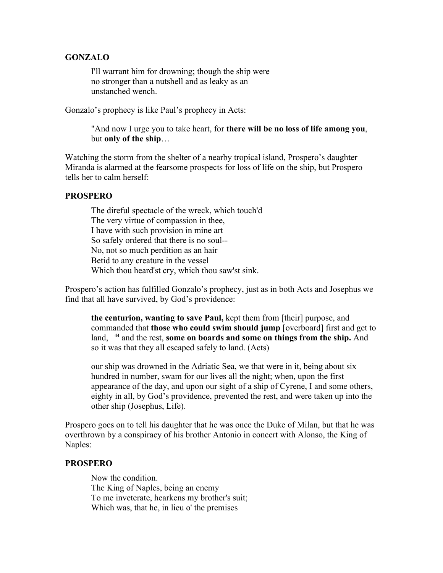### **GONZALO**

I'll warrant him for drowning; though the ship were no stronger than a nutshell and as leaky as an unstanched wench.

Gonzalo's prophecy is like Paul's prophecy in Acts:

"And now I urge you to take heart, for **there will be no loss of life among you**, but **only of the ship**…

Watching the storm from the shelter of a nearby tropical island, Prospero's daughter Miranda is alarmed at the fearsome prospects for loss of life on the ship, but Prospero tells her to calm herself:

#### **PROSPERO**

The direful spectacle of the wreck, which touch'd The very virtue of compassion in thee, I have with such provision in mine art So safely ordered that there is no soul-- No, not so much perdition as an hair Betid to any creature in the vessel Which thou heard'st cry, which thou saw'st sink.

Prospero's action has fulfilled Gonzalo's prophecy, just as in both Acts and Josephus we find that all have survived, by God's providence:

**the centurion, wanting to save Paul,** kept them from [their] purpose, and commanded that **those who could swim should jump** [overboard] first and get to land, **<sup>44</sup>** and the rest, **some on boards and some on things from the ship.** And so it was that they all escaped safely to land. (Acts)

our ship was drowned in the Adriatic Sea, we that were in it, being about six hundred in number, swam for our lives all the night; when, upon the first appearance of the day, and upon our sight of a ship of Cyrene, I and some others, eighty in all, by God's providence, prevented the rest, and were taken up into the other ship (Josephus, Life).

Prospero goes on to tell his daughter that he was once the Duke of Milan, but that he was overthrown by a conspiracy of his brother Antonio in concert with Alonso, the King of Naples:

### **PROSPERO**

Now the condition. The King of Naples, being an enemy To me inveterate, hearkens my brother's suit; Which was, that he, in lieu o' the premises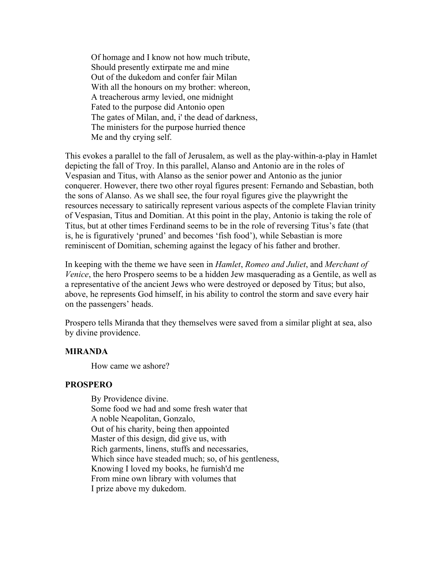Of homage and I know not how much tribute, Should presently extirpate me and mine Out of the dukedom and confer fair Milan With all the honours on my brother: whereon, A treacherous army levied, one midnight Fated to the purpose did Antonio open The gates of Milan, and, i' the dead of darkness, The ministers for the purpose hurried thence Me and thy crying self.

This evokes a parallel to the fall of Jerusalem, as well as the play-within-a-play in Hamlet depicting the fall of Troy. In this parallel, Alanso and Antonio are in the roles of Vespasian and Titus, with Alanso as the senior power and Antonio as the junior conquerer. However, there two other royal figures present: Fernando and Sebastian, both the sons of Alanso. As we shall see, the four royal figures give the playwright the resources necessary to satirically represent various aspects of the complete Flavian trinity of Vespasian, Titus and Domitian. At this point in the play, Antonio is taking the role of Titus, but at other times Ferdinand seems to be in the role of reversing Titus's fate (that is, he is figuratively 'pruned' and becomes 'fish food'), while Sebastian is more reminiscent of Domitian, scheming against the legacy of his father and brother.

In keeping with the theme we have seen in *Hamlet*, *Romeo and Juliet*, and *Merchant of Venice*, the hero Prospero seems to be a hidden Jew masquerading as a Gentile, as well as a representative of the ancient Jews who were destroyed or deposed by Titus; but also, above, he represents God himself, in his ability to control the storm and save every hair on the passengers' heads.

Prospero tells Miranda that they themselves were saved from a similar plight at sea, also by divine providence.

#### **MIRANDA**

How came we ashore?

#### **PROSPERO**

By Providence divine. Some food we had and some fresh water that A noble Neapolitan, Gonzalo, Out of his charity, being then appointed Master of this design, did give us, with Rich garments, linens, stuffs and necessaries, Which since have steaded much; so, of his gentleness, Knowing I loved my books, he furnish'd me From mine own library with volumes that I prize above my dukedom.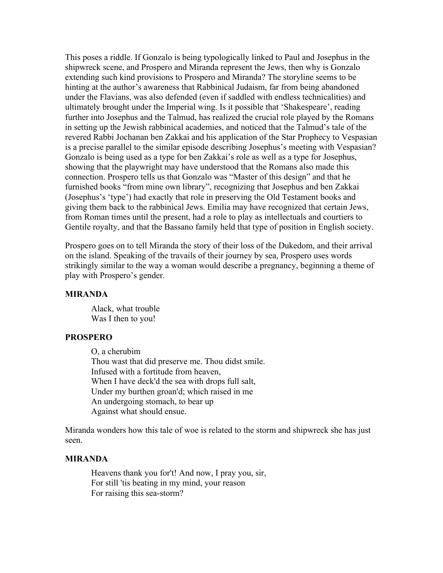This poses a riddle. If Gonzalo is being typologically linked to Paul and Josephus in the shipwreck scene, and Prospero and Miranda represent the Jews, then why is Gonzalo extending such kind provisions to Prospero and Miranda? The storyline seems to be hinting at the author's awareness that Rabbinical Judaism, far from being abandoned under the Flavians, was also defended (even if saddled with endless technicalities) and ultimately brought under the Imperial wing. Is it possible that 'Shakespeare', reading further into Josephus and the Talmud, has realized the crucial role played by the Romans in setting up the Jewish rabbinical academies, and noticed that the Talmud's tale of the revered Rabbi Jochanan ben Zakkai and his application of the Star Prophecy to Vespasian is a precise parallel to the similar episode describing Josephus's meeting with Vespasian? Gonzalo is being used as a type for ben Zakkai's role as well as a type for Josephus, showing that the playwright may have understood that the Romans also made this connection. Prospero tells us that Gonzalo was "Master of this design" and that he furnished books "from mine own library", recognizing that Josephus and ben Zakkai (Josephus's 'type') had exactly that role in preserving the Old Testament books and giving them back to the rabbinical Jews. Emilia may have recognized that certain Jews, from Roman times until the present, had a role to play as intellectuals and courtiers to Gentile royalty, and that the Bassano family held that type of position in English society.

Prospero goes on to tell Miranda the story of their loss of the Dukedom, and their arrival on the island. Speaking of the travails of their journey by sea, Prospero uses words strikingly similar to the way a woman would describe a pregnancy, beginning a theme of play with Prospero's gender.

#### **MIRANDA**

Alack, what trouble Was I then to you!

#### **PROSPERO**

O, a cherubim Thou wast that did preserve me. Thou didst smile. Infused with a fortitude from heaven, When I have deck'd the sea with drops full salt, Under my burthen groan'd; which raised in me An undergoing stomach, to bear up Against what should ensue.

Miranda wonders how this tale of woe is related to the storm and shipwreck she has just seen.

#### **MIRANDA**

Heavens thank you for't! And now, I pray you, sir, For still 'tis beating in my mind, your reason For raising this sea-storm?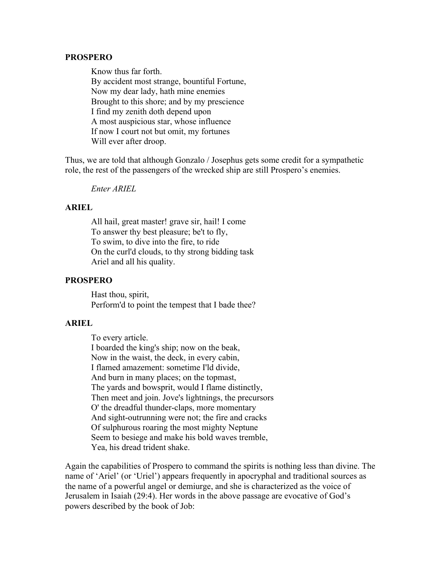#### **PROSPERO**

Know thus far forth. By accident most strange, bountiful Fortune, Now my dear lady, hath mine enemies Brought to this shore; and by my prescience I find my zenith doth depend upon A most auspicious star, whose influence If now I court not but omit, my fortunes Will ever after droop.

Thus, we are told that although Gonzalo / Josephus gets some credit for a sympathetic role, the rest of the passengers of the wrecked ship are still Prospero's enemies.

*Enter ARIEL*

### **ARIEL**

All hail, great master! grave sir, hail! I come To answer thy best pleasure; be't to fly, To swim, to dive into the fire, to ride On the curl'd clouds, to thy strong bidding task Ariel and all his quality.

### **PROSPERO**

Hast thou, spirit, Perform'd to point the tempest that I bade thee?

### **ARIEL**

To every article. I boarded the king's ship; now on the beak, Now in the waist, the deck, in every cabin, I flamed amazement: sometime I'ld divide, And burn in many places; on the topmast, The yards and bowsprit, would I flame distinctly, Then meet and join. Jove's lightnings, the precursors O' the dreadful thunder-claps, more momentary And sight-outrunning were not; the fire and cracks Of sulphurous roaring the most mighty Neptune Seem to besiege and make his bold waves tremble, Yea, his dread trident shake.

Again the capabilities of Prospero to command the spirits is nothing less than divine. The name of 'Ariel' (or 'Uriel') appears frequently in apocryphal and traditional sources as the name of a powerful angel or demiurge, and she is characterized as the voice of Jerusalem in Isaiah (29:4). Her words in the above passage are evocative of God's powers described by the book of Job: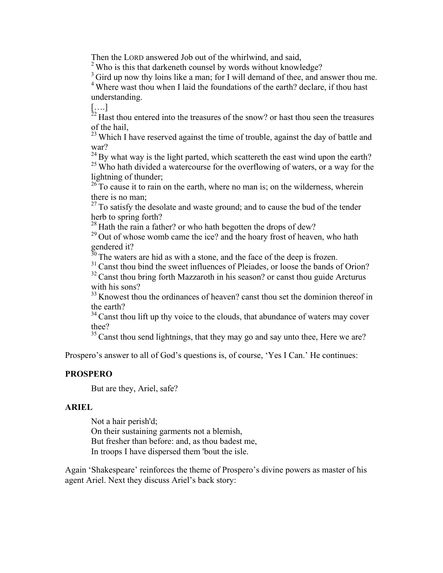Then the LORD answered Job out of the whirlwind, and said,

<sup>2</sup> Who is this that darkeneth counsel by words without knowledge?

<sup>3</sup> Gird up now thy loins like a man; for I will demand of thee, and answer thou me.

<sup>4</sup> Where wast thou when I laid the foundations of the earth? declare, if thou hast understanding.

[….]

 $^{22}$  Hast thou entered into the treasures of the snow? or hast thou seen the treasures of the hail,

 $^{23}$  Which I have reserved against the time of trouble, against the day of battle and war?

 $24$  By what way is the light parted, which scattereth the east wind upon the earth? <sup>25</sup> Who hath divided a watercourse for the overflowing of waters, or a way for the lightning of thunder;

 $26$  To cause it to rain on the earth, where no man is; on the wilderness, wherein there is no man;

 $27$  To satisfy the desolate and waste ground; and to cause the bud of the tender herb to spring forth?

<sup>28</sup> Hath the rain a father? or who hath begotten the drops of dew?

 $29$  Out of whose womb came the ice? and the hoary frost of heaven, who hath gendered it?

 $30$  The waters are hid as with a stone, and the face of the deep is frozen.

 $31$  Canst thou bind the sweet influences of Pleiades, or loose the bands of Orion?

 $32$  Canst thou bring forth Mazzaroth in his season? or canst thou guide Arcturus with his sons?

<sup>33</sup> Knowest thou the ordinances of heaven? canst thou set the dominion thereof in the earth?

 $34$  Canst thou lift up thy voice to the clouds, that abundance of waters may cover thee?

 $35$  Canst thou send lightnings, that they may go and say unto thee, Here we are?

Prospero's answer to all of God's questions is, of course, 'Yes I Can.' He continues:

# **PROSPERO**

But are they, Ariel, safe?

### **ARIEL**

Not a hair perish'd; On their sustaining garments not a blemish, But fresher than before: and, as thou badest me, In troops I have dispersed them 'bout the isle.

Again 'Shakespeare' reinforces the theme of Prospero's divine powers as master of his agent Ariel. Next they discuss Ariel's back story: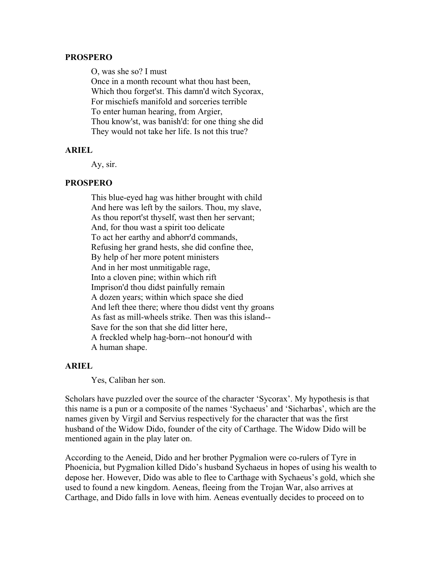#### **PROSPERO**

O, was she so? I must

Once in a month recount what thou hast been, Which thou forget'st. This damn'd witch Sycorax, For mischiefs manifold and sorceries terrible To enter human hearing, from Argier, Thou know'st, was banish'd: for one thing she did They would not take her life. Is not this true?

#### **ARIEL**

Ay, sir.

# **PROSPERO**

This blue-eyed hag was hither brought with child And here was left by the sailors. Thou, my slave, As thou report'st thyself, wast then her servant; And, for thou wast a spirit too delicate To act her earthy and abhorr'd commands, Refusing her grand hests, she did confine thee, By help of her more potent ministers And in her most unmitigable rage, Into a cloven pine; within which rift Imprison'd thou didst painfully remain A dozen years; within which space she died And left thee there; where thou didst vent thy groans As fast as mill-wheels strike. Then was this island-- Save for the son that she did litter here, A freckled whelp hag-born--not honour'd with A human shape.

#### **ARIEL**

Yes, Caliban her son.

Scholars have puzzled over the source of the character 'Sycorax'. My hypothesis is that this name is a pun or a composite of the names 'Sychaeus' and 'Sicharbas', which are the names given by Virgil and Servius respectively for the character that was the first husband of the Widow Dido, founder of the city of Carthage. The Widow Dido will be mentioned again in the play later on.

According to the Aeneid, Dido and her brother Pygmalion were co-rulers of Tyre in Phoenicia, but Pygmalion killed Dido's husband Sychaeus in hopes of using his wealth to depose her. However, Dido was able to flee to Carthage with Sychaeus's gold, which she used to found a new kingdom. Aeneas, fleeing from the Trojan War, also arrives at Carthage, and Dido falls in love with him. Aeneas eventually decides to proceed on to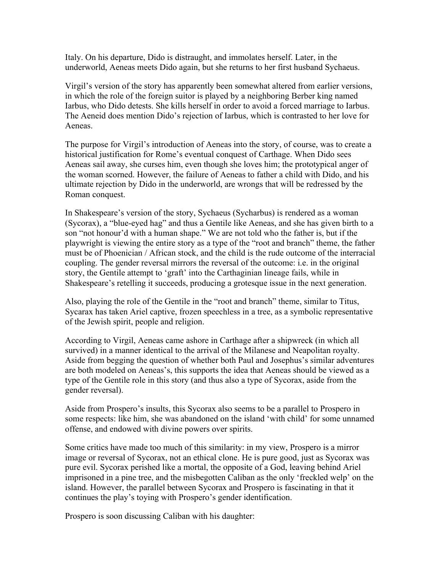Italy. On his departure, Dido is distraught, and immolates herself. Later, in the underworld, Aeneas meets Dido again, but she returns to her first husband Sychaeus.

Virgil's version of the story has apparently been somewhat altered from earlier versions, in which the role of the foreign suitor is played by a neighboring Berber king named Iarbus, who Dido detests. She kills herself in order to avoid a forced marriage to Iarbus. The Aeneid does mention Dido's rejection of Iarbus, which is contrasted to her love for Aeneas.

The purpose for Virgil's introduction of Aeneas into the story, of course, was to create a historical justification for Rome's eventual conquest of Carthage. When Dido sees Aeneas sail away, she curses him, even though she loves him; the prototypical anger of the woman scorned. However, the failure of Aeneas to father a child with Dido, and his ultimate rejection by Dido in the underworld, are wrongs that will be redressed by the Roman conquest.

In Shakespeare's version of the story, Sychaeus (Sycharbus) is rendered as a woman (Sycorax), a "blue-eyed hag" and thus a Gentile like Aeneas, and she has given birth to a son "not honour'd with a human shape." We are not told who the father is, but if the playwright is viewing the entire story as a type of the "root and branch" theme, the father must be of Phoenician / African stock, and the child is the rude outcome of the interracial coupling. The gender reversal mirrors the reversal of the outcome: i.e. in the original story, the Gentile attempt to 'graft' into the Carthaginian lineage fails, while in Shakespeare's retelling it succeeds, producing a grotesque issue in the next generation.

Also, playing the role of the Gentile in the "root and branch" theme, similar to Titus, Sycarax has taken Ariel captive, frozen speechless in a tree, as a symbolic representative of the Jewish spirit, people and religion.

According to Virgil, Aeneas came ashore in Carthage after a shipwreck (in which all survived) in a manner identical to the arrival of the Milanese and Neapolitan royalty. Aside from begging the question of whether both Paul and Josephus's similar adventures are both modeled on Aeneas's, this supports the idea that Aeneas should be viewed as a type of the Gentile role in this story (and thus also a type of Sycorax, aside from the gender reversal).

Aside from Prospero's insults, this Sycorax also seems to be a parallel to Prospero in some respects: like him, she was abandoned on the island 'with child' for some unnamed offense, and endowed with divine powers over spirits.

Some critics have made too much of this similarity: in my view, Prospero is a mirror image or reversal of Sycorax, not an ethical clone. He is pure good, just as Sycorax was pure evil. Sycorax perished like a mortal, the opposite of a God, leaving behind Ariel imprisoned in a pine tree, and the misbegotten Caliban as the only 'freckled welp' on the island. However, the parallel between Sycorax and Prospero is fascinating in that it continues the play's toying with Prospero's gender identification.

Prospero is soon discussing Caliban with his daughter: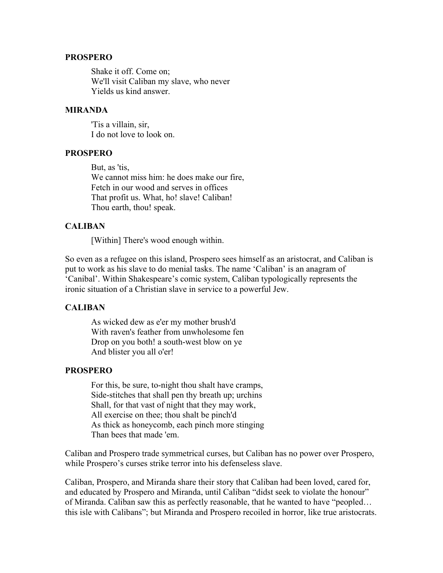#### **PROSPERO**

Shake it off. Come on; We'll visit Caliban my slave, who never Yields us kind answer.

#### **MIRANDA**

'Tis a villain, sir, I do not love to look on.

### **PROSPERO**

But, as 'tis, We cannot miss him: he does make our fire, Fetch in our wood and serves in offices That profit us. What, ho! slave! Caliban! Thou earth, thou! speak.

### **CALIBAN**

[Within] There's wood enough within.

So even as a refugee on this island, Prospero sees himself as an aristocrat, and Caliban is put to work as his slave to do menial tasks. The name 'Caliban' is an anagram of 'Canibal'. Within Shakespeare's comic system, Caliban typologically represents the ironic situation of a Christian slave in service to a powerful Jew.

### **CALIBAN**

As wicked dew as e'er my mother brush'd With raven's feather from unwholesome fen Drop on you both! a south-west blow on ye And blister you all o'er!

### **PROSPERO**

For this, be sure, to-night thou shalt have cramps, Side-stitches that shall pen thy breath up; urchins Shall, for that vast of night that they may work, All exercise on thee; thou shalt be pinch'd As thick as honeycomb, each pinch more stinging Than bees that made 'em.

Caliban and Prospero trade symmetrical curses, but Caliban has no power over Prospero, while Prospero's curses strike terror into his defenseless slave.

Caliban, Prospero, and Miranda share their story that Caliban had been loved, cared for, and educated by Prospero and Miranda, until Caliban "didst seek to violate the honour" of Miranda. Caliban saw this as perfectly reasonable, that he wanted to have "peopled… this isle with Calibans"; but Miranda and Prospero recoiled in horror, like true aristocrats.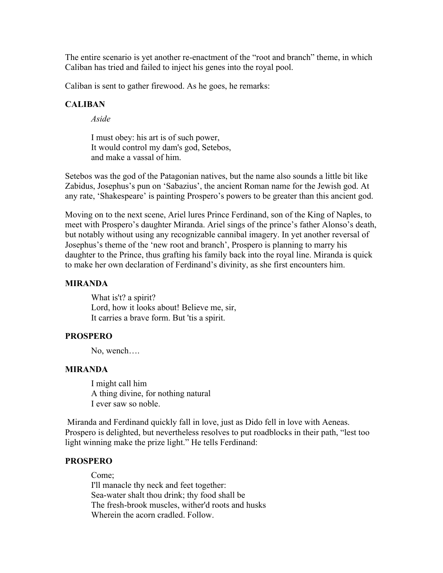The entire scenario is yet another re-enactment of the "root and branch" theme, in which Caliban has tried and failed to inject his genes into the royal pool.

Caliban is sent to gather firewood. As he goes, he remarks:

#### **CALIBAN**

*Aside*

I must obey: his art is of such power, It would control my dam's god, Setebos, and make a vassal of him.

Setebos was the god of the Patagonian natives, but the name also sounds a little bit like Zabidus, Josephus's pun on 'Sabazius', the ancient Roman name for the Jewish god. At any rate, 'Shakespeare' is painting Prospero's powers to be greater than this ancient god.

Moving on to the next scene, Ariel lures Prince Ferdinand, son of the King of Naples, to meet with Prospero's daughter Miranda. Ariel sings of the prince's father Alonso's death, but notably without using any recognizable cannibal imagery. In yet another reversal of Josephus's theme of the 'new root and branch', Prospero is planning to marry his daughter to the Prince, thus grafting his family back into the royal line. Miranda is quick to make her own declaration of Ferdinand's divinity, as she first encounters him.

#### **MIRANDA**

What is't? a spirit? Lord, how it looks about! Believe me, sir, It carries a brave form. But 'tis a spirit.

# **PROSPERO**

No, wench….

#### **MIRANDA**

I might call him A thing divine, for nothing natural I ever saw so noble.

Miranda and Ferdinand quickly fall in love, just as Dido fell in love with Aeneas. Prospero is delighted, but nevertheless resolves to put roadblocks in their path, "lest too light winning make the prize light." He tells Ferdinand:

#### **PROSPERO**

Come; I'll manacle thy neck and feet together: Sea-water shalt thou drink; thy food shall be The fresh-brook muscles, wither'd roots and husks Wherein the acorn cradled. Follow.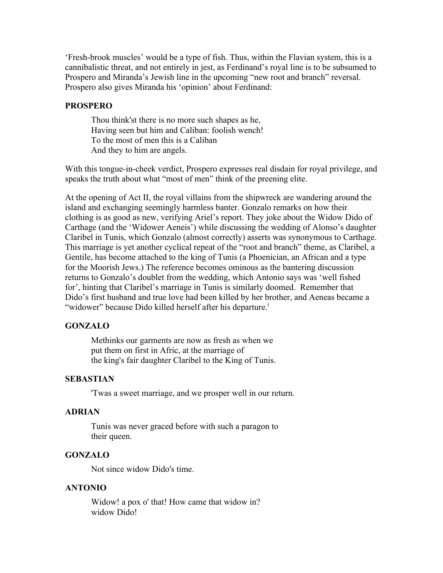'Fresh-brook muscles' would be a type of fish. Thus, within the Flavian system, this is a cannibalistic threat, and not entirely in jest, as Ferdinand's royal line is to be subsumed to Prospero and Miranda's Jewish line in the upcoming "new root and branch" reversal. Prospero also gives Miranda his 'opinion' about Ferdinand:

#### **PROSPERO**

Thou think'st there is no more such shapes as he, Having seen but him and Caliban: foolish wench! To the most of men this is a Caliban And they to him are angels.

With this tongue-in-cheek verdict, Prospero expresses real disdain for royal privilege, and speaks the truth about what "most of men" think of the preening elite.

At the opening of Act II, the royal villains from the shipwreck are wandering around the island and exchanging seemingly harmless banter. Gonzalo remarks on how their clothing is as good as new, verifying Ariel's report. They joke about the Widow Dido of Carthage (and the 'Widower Aeneis') while discussing the wedding of Alonso's daughter Claribel in Tunis, which Gonzalo (almost correctly) asserts was synonymous to Carthage. This marriage is yet another cyclical repeat of the "root and branch" theme, as Claribel, a Gentile, has become attached to the king of Tunis (a Phoenician, an African and a type for the Moorish Jews.) The reference becomes ominous as the bantering discussion returns to Gonzalo's doublet from the wedding, which Antonio says was 'well fished for', hinting that Claribel's marriage in Tunis is similarly doomed. Remember that Dido's first husband and true love had been killed by her brother, and Aeneas became a "widower" because Dido killed herself after his departure.<sup>1</sup>

#### **GONZALO**

Methinks our garments are now as fresh as when we put them on first in Afric, at the marriage of the king's fair daughter Claribel to the King of Tunis.

### **SEBASTIAN**

'Twas a sweet marriage, and we prosper well in our return.

#### **ADRIAN**

Tunis was never graced before with such a paragon to their queen.

#### **GONZALO**

Not since widow Dido's time.

#### **ANTONIO**

Widow! a pox o' that! How came that widow in? widow Dido!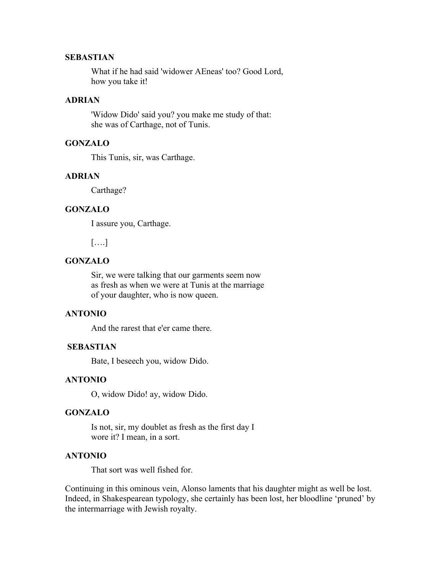### **SEBASTIAN**

What if he had said 'widower AEneas' too? Good Lord, how you take it!

#### **ADRIAN**

'Widow Dido' said you? you make me study of that: she was of Carthage, not of Tunis.

# **GONZALO**

This Tunis, sir, was Carthage.

### **ADRIAN**

Carthage?

#### **GONZALO**

I assure you, Carthage.

[….]

# **GONZALO**

Sir, we were talking that our garments seem now as fresh as when we were at Tunis at the marriage of your daughter, who is now queen.

#### **ANTONIO**

And the rarest that e'er came there.

#### **SEBASTIAN**

Bate, I beseech you, widow Dido.

### **ANTONIO**

O, widow Dido! ay, widow Dido.

#### **GONZALO**

Is not, sir, my doublet as fresh as the first day I wore it? I mean, in a sort.

### **ANTONIO**

That sort was well fished for.

Continuing in this ominous vein, Alonso laments that his daughter might as well be lost. Indeed, in Shakespearean typology, she certainly has been lost, her bloodline 'pruned' by the intermarriage with Jewish royalty.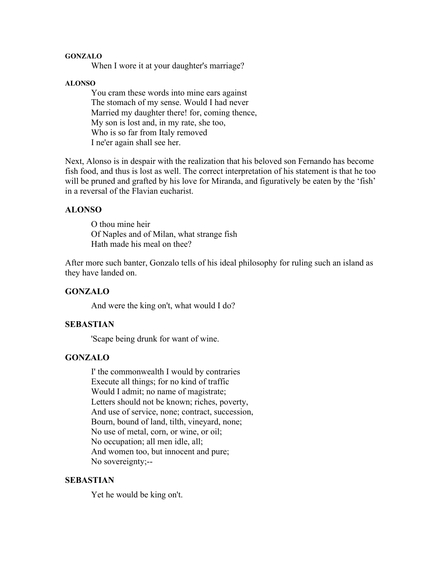#### **GONZALO**

When I wore it at your daughter's marriage?

#### **ALONSO**

You cram these words into mine ears against The stomach of my sense. Would I had never Married my daughter there! for, coming thence, My son is lost and, in my rate, she too, Who is so far from Italy removed I ne'er again shall see her.

Next, Alonso is in despair with the realization that his beloved son Fernando has become fish food, and thus is lost as well. The correct interpretation of his statement is that he too will be pruned and grafted by his love for Miranda, and figuratively be eaten by the 'fish' in a reversal of the Flavian eucharist.

#### **ALONSO**

O thou mine heir Of Naples and of Milan, what strange fish Hath made his meal on thee?

After more such banter, Gonzalo tells of his ideal philosophy for ruling such an island as they have landed on.

### **GONZALO**

And were the king on't, what would I do?

# **SEBASTIAN**

'Scape being drunk for want of wine.

### **GONZALO**

I' the commonwealth I would by contraries Execute all things; for no kind of traffic Would I admit; no name of magistrate; Letters should not be known; riches, poverty, And use of service, none; contract, succession, Bourn, bound of land, tilth, vineyard, none; No use of metal, corn, or wine, or oil; No occupation; all men idle, all; And women too, but innocent and pure; No sovereignty;--

#### **SEBASTIAN**

Yet he would be king on't.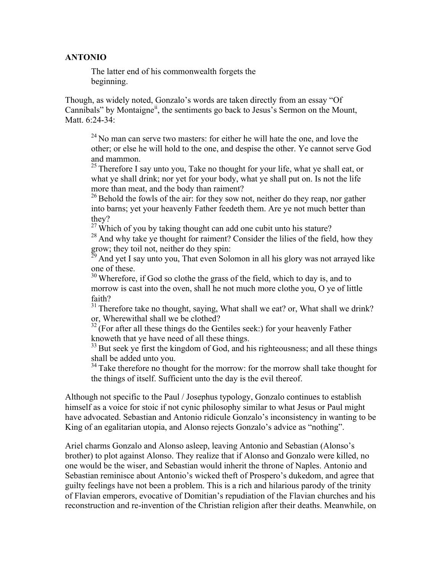### **ANTONIO**

The latter end of his commonwealth forgets the beginning.

Though, as widely noted, Gonzalo's words are taken directly from an essay "Of Cannibals" by Montaigne<sup>ii</sup>, the sentiments go back to Jesus's Sermon on the Mount, Matt. 6:24-34:

 $24$  No man can serve two masters: for either he will hate the one, and love the other; or else he will hold to the one, and despise the other. Ye cannot serve God and mammon.

<sup>25</sup> Therefore I say unto you, Take no thought for your life, what ye shall eat, or what ye shall drink; nor yet for your body, what ye shall put on. Is not the life more than meat, and the body than raiment?

<sup>26</sup> Behold the fowls of the air: for they sow not, neither do they reap, nor gather into barns; yet your heavenly Father feedeth them. Are ye not much better than they?

 $27$  Which of you by taking thought can add one cubit unto his stature?

 $28$  And why take ye thought for raiment? Consider the lilies of the field, how they grow; they toil not, neither do they spin:

 $^{\overline{29}}$  And yet I say unto you, That even Solomon in all his glory was not arrayed like one of these.

 $30$  Wherefore, if God so clothe the grass of the field, which to day is, and to morrow is cast into the oven, shall he not much more clothe you, O ye of little faith?

<sup>31</sup> Therefore take no thought, saying, What shall we eat? or, What shall we drink? or, Wherewithal shall we be clothed?

 $32$ <sup>2</sup> (For after all these things do the Gentiles seek:) for your heavenly Father knoweth that ye have need of all these things.

 $33$  But seek ye first the kingdom of God, and his righteousness; and all these things shall be added unto you.

 $34$  Take therefore no thought for the morrow: for the morrow shall take thought for the things of itself. Sufficient unto the day is the evil thereof.

Although not specific to the Paul / Josephus typology, Gonzalo continues to establish himself as a voice for stoic if not cynic philosophy similar to what Jesus or Paul might have advocated. Sebastian and Antonio ridicule Gonzalo's inconsistency in wanting to be King of an egalitarian utopia, and Alonso rejects Gonzalo's advice as "nothing".

Ariel charms Gonzalo and Alonso asleep, leaving Antonio and Sebastian (Alonso's brother) to plot against Alonso. They realize that if Alonso and Gonzalo were killed, no one would be the wiser, and Sebastian would inherit the throne of Naples. Antonio and Sebastian reminisce about Antonio's wicked theft of Prospero's dukedom, and agree that guilty feelings have not been a problem. This is a rich and hilarious parody of the trinity of Flavian emperors, evocative of Domitian's repudiation of the Flavian churches and his reconstruction and re-invention of the Christian religion after their deaths. Meanwhile, on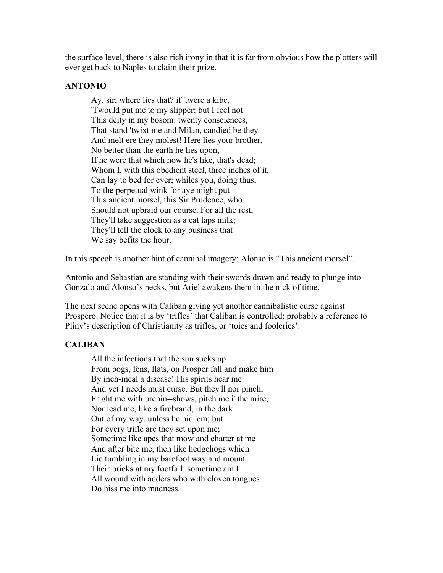the surface level, there is also rich irony in that it is far from obvious how the plotters will ever get back to Naples to claim their prize.

# **ANTONIO**

Ay, sir; where lies that? if 'twere a kibe, 'Twould put me to my slipper: but I feel not This deity in my bosom: twenty consciences, That stand 'twixt me and Milan, candied be they And melt ere they molest! Here lies your brother, No better than the earth he lies upon, If he were that which now he's like, that's dead; Whom I, with this obedient steel, three inches of it, Can lay to bed for ever; whiles you, doing thus, To the perpetual wink for aye might put This ancient morsel, this Sir Prudence, who Should not upbraid our course. For all the rest, They'll take suggestion as a cat laps milk; They'll tell the clock to any business that We say befits the hour.

In this speech is another hint of cannibal imagery: Alonso is "This ancient morsel".

Antonio and Sebastian are standing with their swords drawn and ready to plunge into Gonzalo and Alonso's necks, but Ariel awakens them in the nick of time.

The next scene opens with Caliban giving yet another cannibalistic curse against Prospero. Notice that it is by 'trifles' that Caliban is controlled: probably a reference to Pliny's description of Christianity as trifles, or 'toies and fooleries'.

# **CALIBAN**

All the infections that the sun sucks up From bogs, fens, flats, on Prosper fall and make him By inch-meal a disease! His spirits hear me And yet I needs must curse. But they'll nor pinch, Fright me with urchin--shows, pitch me i' the mire, Nor lead me, like a firebrand, in the dark Out of my way, unless he bid 'em; but For every trifle are they set upon me; Sometime like apes that mow and chatter at me And after bite me, then like hedgehogs which Lie tumbling in my barefoot way and mount Their pricks at my footfall; sometime am I All wound with adders who with cloven tongues Do hiss me into madness.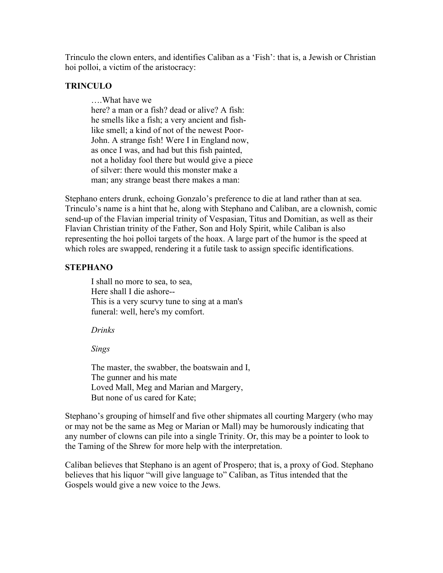Trinculo the clown enters, and identifies Caliban as a 'Fish': that is, a Jewish or Christian hoi polloi, a victim of the aristocracy:

# **TRINCULO**

….What have we here? a man or a fish? dead or alive? A fish: he smells like a fish; a very ancient and fishlike smell; a kind of not of the newest Poor-John. A strange fish! Were I in England now, as once I was, and had but this fish painted, not a holiday fool there but would give a piece of silver: there would this monster make a man; any strange beast there makes a man:

Stephano enters drunk, echoing Gonzalo's preference to die at land rather than at sea. Trinculo's name is a hint that he, along with Stephano and Caliban, are a clownish, comic send-up of the Flavian imperial trinity of Vespasian, Titus and Domitian, as well as their Flavian Christian trinity of the Father, Son and Holy Spirit, while Caliban is also representing the hoi polloi targets of the hoax. A large part of the humor is the speed at which roles are swapped, rendering it a futile task to assign specific identifications.

# **STEPHANO**

I shall no more to sea, to sea, Here shall I die ashore-- This is a very scurvy tune to sing at a man's funeral: well, here's my comfort.

### *Drinks*

*Sings*

The master, the swabber, the boatswain and I, The gunner and his mate Loved Mall, Meg and Marian and Margery, But none of us cared for Kate;

Stephano's grouping of himself and five other shipmates all courting Margery (who may or may not be the same as Meg or Marian or Mall) may be humorously indicating that any number of clowns can pile into a single Trinity. Or, this may be a pointer to look to the Taming of the Shrew for more help with the interpretation.

Caliban believes that Stephano is an agent of Prospero; that is, a proxy of God. Stephano believes that his liquor "will give language to" Caliban, as Titus intended that the Gospels would give a new voice to the Jews.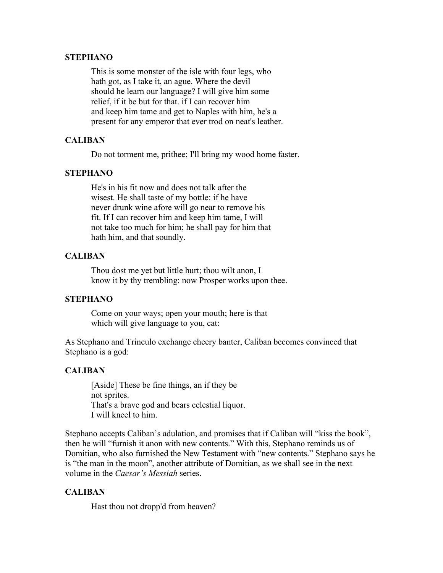#### **STEPHANO**

This is some monster of the isle with four legs, who hath got, as I take it, an ague. Where the devil should he learn our language? I will give him some relief, if it be but for that. if I can recover him and keep him tame and get to Naples with him, he's a present for any emperor that ever trod on neat's leather.

# **CALIBAN**

Do not torment me, prithee; I'll bring my wood home faster.

### **STEPHANO**

He's in his fit now and does not talk after the wisest. He shall taste of my bottle: if he have never drunk wine afore will go near to remove his fit. If I can recover him and keep him tame, I will not take too much for him; he shall pay for him that hath him, and that soundly.

# **CALIBAN**

Thou dost me yet but little hurt; thou wilt anon, I know it by thy trembling: now Prosper works upon thee.

### **STEPHANO**

Come on your ways; open your mouth; here is that which will give language to you, cat:

As Stephano and Trinculo exchange cheery banter, Caliban becomes convinced that Stephano is a god:

# **CALIBAN**

[Aside] These be fine things, an if they be not sprites. That's a brave god and bears celestial liquor. I will kneel to him.

Stephano accepts Caliban's adulation, and promises that if Caliban will "kiss the book", then he will "furnish it anon with new contents." With this, Stephano reminds us of Domitian, who also furnished the New Testament with "new contents." Stephano says he is "the man in the moon", another attribute of Domitian, as we shall see in the next volume in the *Caesar's Messiah* series.

# **CALIBAN**

Hast thou not dropp'd from heaven?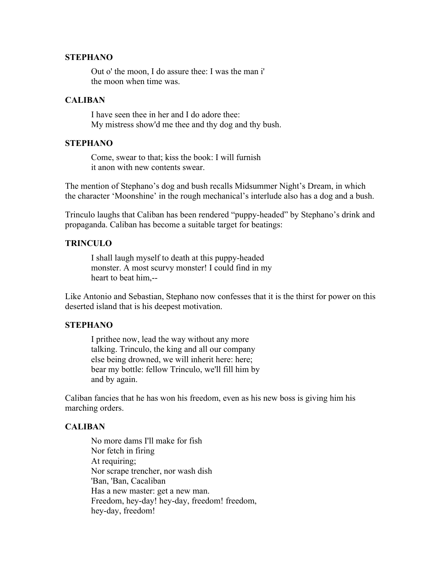#### **STEPHANO**

Out o' the moon, I do assure thee: I was the man i' the moon when time was.

### **CALIBAN**

I have seen thee in her and I do adore thee: My mistress show'd me thee and thy dog and thy bush.

# **STEPHANO**

Come, swear to that; kiss the book: I will furnish it anon with new contents swear.

The mention of Stephano's dog and bush recalls Midsummer Night's Dream, in which the character 'Moonshine' in the rough mechanical's interlude also has a dog and a bush.

Trinculo laughs that Caliban has been rendered "puppy-headed" by Stephano's drink and propaganda. Caliban has become a suitable target for beatings:

### **TRINCULO**

I shall laugh myself to death at this puppy-headed monster. A most scurvy monster! I could find in my heart to beat him,--

Like Antonio and Sebastian, Stephano now confesses that it is the thirst for power on this deserted island that is his deepest motivation.

#### **STEPHANO**

I prithee now, lead the way without any more talking. Trinculo, the king and all our company else being drowned, we will inherit here: here; bear my bottle: fellow Trinculo, we'll fill him by and by again.

Caliban fancies that he has won his freedom, even as his new boss is giving him his marching orders.

### **CALIBAN**

No more dams I'll make for fish Nor fetch in firing At requiring; Nor scrape trencher, nor wash dish 'Ban, 'Ban, Cacaliban Has a new master: get a new man. Freedom, hey-day! hey-day, freedom! freedom, hey-day, freedom!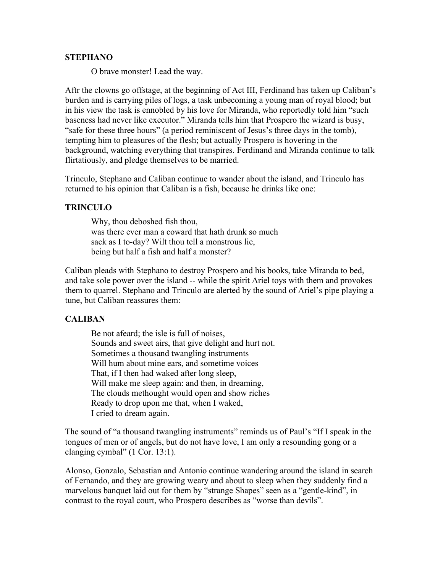#### **STEPHANO**

O brave monster! Lead the way.

Aftr the clowns go offstage, at the beginning of Act III, Ferdinand has taken up Caliban's burden and is carrying piles of logs, a task unbecoming a young man of royal blood; but in his view the task is ennobled by his love for Miranda, who reportedly told him "such baseness had never like executor." Miranda tells him that Prospero the wizard is busy, "safe for these three hours" (a period reminiscent of Jesus's three days in the tomb), tempting him to pleasures of the flesh; but actually Prospero is hovering in the background, watching everything that transpires. Ferdinand and Miranda continue to talk flirtatiously, and pledge themselves to be married.

Trinculo, Stephano and Caliban continue to wander about the island, and Trinculo has returned to his opinion that Caliban is a fish, because he drinks like one:

#### **TRINCULO**

Why, thou deboshed fish thou, was there ever man a coward that hath drunk so much sack as I to-day? Wilt thou tell a monstrous lie, being but half a fish and half a monster?

Caliban pleads with Stephano to destroy Prospero and his books, take Miranda to bed, and take sole power over the island -- while the spirit Ariel toys with them and provokes them to quarrel. Stephano and Trinculo are alerted by the sound of Ariel's pipe playing a tune, but Caliban reassures them:

### **CALIBAN**

Be not afeard; the isle is full of noises, Sounds and sweet airs, that give delight and hurt not. Sometimes a thousand twangling instruments Will hum about mine ears, and sometime voices That, if I then had waked after long sleep, Will make me sleep again: and then, in dreaming, The clouds methought would open and show riches Ready to drop upon me that, when I waked, I cried to dream again.

The sound of "a thousand twangling instruments" reminds us of Paul's "If I speak in the tongues of men or of angels, but do not have love, I am only a resounding gong or a clanging cymbal" (1 Cor. 13:1).

Alonso, Gonzalo, Sebastian and Antonio continue wandering around the island in search of Fernando, and they are growing weary and about to sleep when they suddenly find a marvelous banquet laid out for them by "strange Shapes" seen as a "gentle-kind", in contrast to the royal court, who Prospero describes as "worse than devils".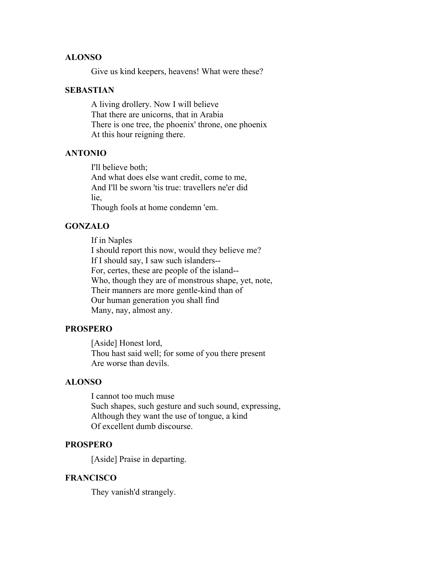## **ALONSO**

Give us kind keepers, heavens! What were these?

#### **SEBASTIAN**

A living drollery. Now I will believe That there are unicorns, that in Arabia There is one tree, the phoenix' throne, one phoenix At this hour reigning there.

#### **ANTONIO**

I'll believe both;

And what does else want credit, come to me, And I'll be sworn 'tis true: travellers ne'er did lie,

Though fools at home condemn 'em.

#### **GONZALO**

If in Naples

I should report this now, would they believe me? If I should say, I saw such islanders-- For, certes, these are people of the island-- Who, though they are of monstrous shape, yet, note, Their manners are more gentle-kind than of Our human generation you shall find Many, nay, almost any.

#### **PROSPERO**

[Aside] Honest lord, Thou hast said well; for some of you there present Are worse than devils.

### **ALONSO**

I cannot too much muse Such shapes, such gesture and such sound, expressing, Although they want the use of tongue, a kind Of excellent dumb discourse.

### **PROSPERO**

[Aside] Praise in departing.

#### **FRANCISCO**

They vanish'd strangely.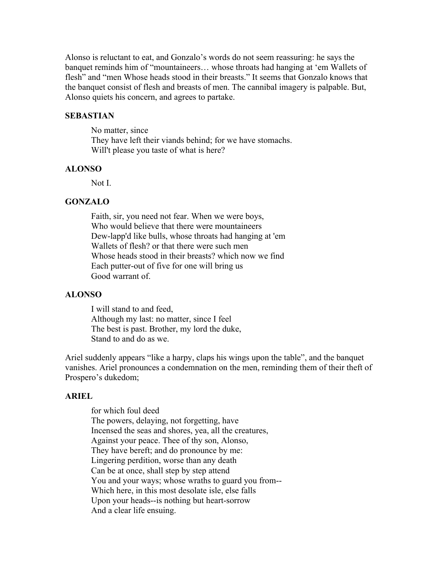Alonso is reluctant to eat, and Gonzalo's words do not seem reassuring: he says the banquet reminds him of "mountaineers… whose throats had hanging at 'em Wallets of flesh" and "men Whose heads stood in their breasts." It seems that Gonzalo knows that the banquet consist of flesh and breasts of men. The cannibal imagery is palpable. But, Alonso quiets his concern, and agrees to partake.

#### **SEBASTIAN**

No matter, since They have left their viands behind; for we have stomachs. Will't please you taste of what is here?

#### **ALONSO**

Not I.

#### **GONZALO**

Faith, sir, you need not fear. When we were boys, Who would believe that there were mountaineers Dew-lapp'd like bulls, whose throats had hanging at 'em Wallets of flesh? or that there were such men Whose heads stood in their breasts? which now we find Each putter-out of five for one will bring us Good warrant of.

#### **ALONSO**

I will stand to and feed, Although my last: no matter, since I feel The best is past. Brother, my lord the duke, Stand to and do as we.

Ariel suddenly appears "like a harpy, claps his wings upon the table", and the banquet vanishes. Ariel pronounces a condemnation on the men, reminding them of their theft of Prospero's dukedom;

#### **ARIEL**

for which foul deed The powers, delaying, not forgetting, have Incensed the seas and shores, yea, all the creatures, Against your peace. Thee of thy son, Alonso, They have bereft; and do pronounce by me: Lingering perdition, worse than any death Can be at once, shall step by step attend You and your ways; whose wraths to guard you from-- Which here, in this most desolate isle, else falls Upon your heads--is nothing but heart-sorrow And a clear life ensuing.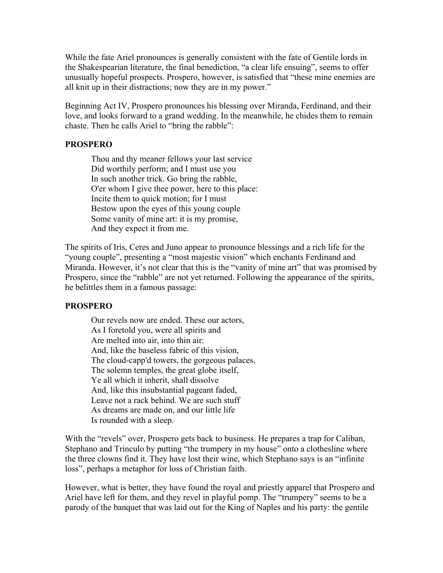While the fate Ariel pronounces is generally consistent with the fate of Gentile lords in the Shakespearian literature, the final benediction, "a clear life ensuing", seems to offer unusually hopeful prospects. Prospero, however, is satisfied that "these mine enemies are all knit up in their distractions; now they are in my power."

Beginning Act IV, Prospero pronounces his blessing over Miranda, Ferdinand, and their love, and looks forward to a grand wedding. In the meanwhile, he chides them to remain chaste. Then he calls Ariel to "bring the rabble":

### **PROSPERO**

Thou and thy meaner fellows your last service Did worthily perform; and I must use you In such another trick. Go bring the rabble, O'er whom I give thee power, here to this place: Incite them to quick motion; for I must Bestow upon the eyes of this young couple Some vanity of mine art: it is my promise, And they expect it from me.

The spirits of Iris, Ceres and Juno appear to pronounce blessings and a rich life for the "young couple", presenting a "most majestic vision" which enchants Ferdinand and Miranda. However, it's not clear that this is the "vanity of mine art" that was promised by Prospero, since the "rabble" are not yet returned. Following the appearance of the spirits, he belittles them in a famous passage:

#### **PROSPERO**

Our revels now are ended. These our actors, As I foretold you, were all spirits and Are melted into air, into thin air: And, like the baseless fabric of this vision, The cloud-capp'd towers, the gorgeous palaces, The solemn temples, the great globe itself, Ye all which it inherit, shall dissolve And, like this insubstantial pageant faded, Leave not a rack behind. We are such stuff As dreams are made on, and our little life Is rounded with a sleep.

With the "revels" over, Prospero gets back to business. He prepares a trap for Caliban, Stephano and Trinculo by putting "the trumpery in my house" onto a clothesline where the three clowns find it. They have lost their wine, which Stephano says is an "infinite loss", perhaps a metaphor for loss of Christian faith.

However, what is better, they have found the royal and priestly apparel that Prospero and Ariel have left for them, and they revel in playful pomp. The "trumpery" seems to be a parody of the banquet that was laid out for the King of Naples and his party: the gentile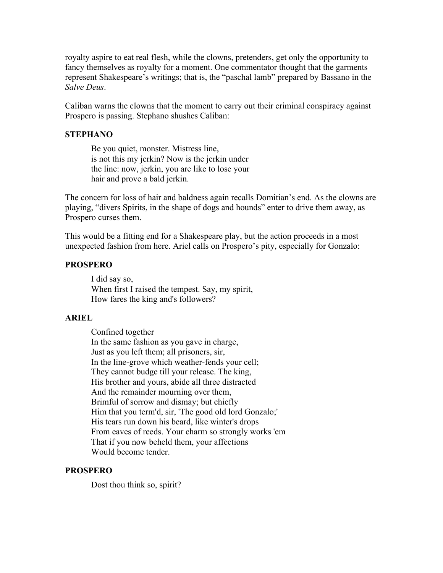royalty aspire to eat real flesh, while the clowns, pretenders, get only the opportunity to fancy themselves as royalty for a moment. One commentator thought that the garments represent Shakespeare's writings; that is, the "paschal lamb" prepared by Bassano in the *Salve Deus*.

Caliban warns the clowns that the moment to carry out their criminal conspiracy against Prospero is passing. Stephano shushes Caliban:

### **STEPHANO**

Be you quiet, monster. Mistress line, is not this my jerkin? Now is the jerkin under the line: now, jerkin, you are like to lose your hair and prove a bald jerkin.

The concern for loss of hair and baldness again recalls Domitian's end. As the clowns are playing, "divers Spirits, in the shape of dogs and hounds" enter to drive them away, as Prospero curses them.

This would be a fitting end for a Shakespeare play, but the action proceeds in a most unexpected fashion from here. Ariel calls on Prospero's pity, especially for Gonzalo:

# **PROSPERO**

I did say so, When first I raised the tempest. Say, my spirit, How fares the king and's followers?

# **ARIEL**

Confined together In the same fashion as you gave in charge, Just as you left them; all prisoners, sir, In the line-grove which weather-fends your cell; They cannot budge till your release. The king, His brother and yours, abide all three distracted And the remainder mourning over them, Brimful of sorrow and dismay; but chiefly Him that you term'd, sir, 'The good old lord Gonzalo;' His tears run down his beard, like winter's drops From eaves of reeds. Your charm so strongly works 'em That if you now beheld them, your affections Would become tender.

# **PROSPERO**

Dost thou think so, spirit?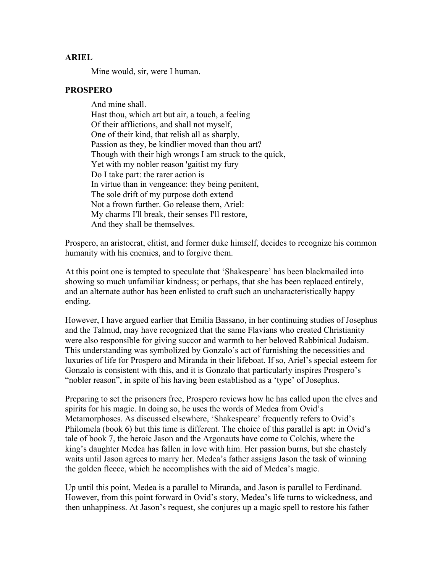#### **ARIEL**

Mine would, sir, were I human.

#### **PROSPERO**

And mine shall. Hast thou, which art but air, a touch, a feeling Of their afflictions, and shall not myself, One of their kind, that relish all as sharply, Passion as they, be kindlier moved than thou art? Though with their high wrongs I am struck to the quick, Yet with my nobler reason 'gaitist my fury Do I take part: the rarer action is In virtue than in vengeance: they being penitent, The sole drift of my purpose doth extend Not a frown further. Go release them, Ariel: My charms I'll break, their senses I'll restore, And they shall be themselves.

Prospero, an aristocrat, elitist, and former duke himself, decides to recognize his common humanity with his enemies, and to forgive them.

At this point one is tempted to speculate that 'Shakespeare' has been blackmailed into showing so much unfamiliar kindness; or perhaps, that she has been replaced entirely, and an alternate author has been enlisted to craft such an uncharacteristically happy ending.

However, I have argued earlier that Emilia Bassano, in her continuing studies of Josephus and the Talmud, may have recognized that the same Flavians who created Christianity were also responsible for giving succor and warmth to her beloved Rabbinical Judaism. This understanding was symbolized by Gonzalo's act of furnishing the necessities and luxuries of life for Prospero and Miranda in their lifeboat. If so, Ariel's special esteem for Gonzalo is consistent with this, and it is Gonzalo that particularly inspires Prospero's "nobler reason", in spite of his having been established as a 'type' of Josephus.

Preparing to set the prisoners free, Prospero reviews how he has called upon the elves and spirits for his magic. In doing so, he uses the words of Medea from Ovid's Metamorphoses. As discussed elsewhere, 'Shakespeare' frequently refers to Ovid's Philomela (book 6) but this time is different. The choice of this parallel is apt: in Ovid's tale of book 7, the heroic Jason and the Argonauts have come to Colchis, where the king's daughter Medea has fallen in love with him. Her passion burns, but she chastely waits until Jason agrees to marry her. Medea's father assigns Jason the task of winning the golden fleece, which he accomplishes with the aid of Medea's magic.

Up until this point, Medea is a parallel to Miranda, and Jason is parallel to Ferdinand. However, from this point forward in Ovid's story, Medea's life turns to wickedness, and then unhappiness. At Jason's request, she conjures up a magic spell to restore his father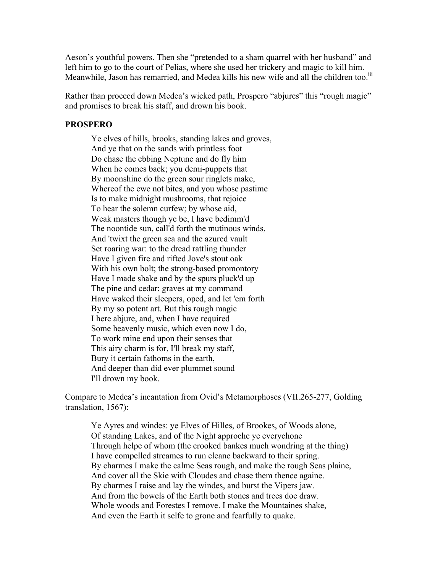Aeson's youthful powers. Then she "pretended to a sham quarrel with her husband" and left him to go to the court of Pelias, where she used her trickery and magic to kill him. Meanwhile, Jason has remarried, and Medea kills his new wife and all the children too.<sup>iii</sup>

Rather than proceed down Medea's wicked path, Prospero "abjures" this "rough magic" and promises to break his staff, and drown his book.

#### **PROSPERO**

Ye elves of hills, brooks, standing lakes and groves, And ye that on the sands with printless foot Do chase the ebbing Neptune and do fly him When he comes back; you demi-puppets that By moonshine do the green sour ringlets make, Whereof the ewe not bites, and you whose pastime Is to make midnight mushrooms, that rejoice To hear the solemn curfew; by whose aid, Weak masters though ye be, I have bedimm'd The noontide sun, call'd forth the mutinous winds, And 'twixt the green sea and the azured vault Set roaring war: to the dread rattling thunder Have I given fire and rifted Jove's stout oak With his own bolt; the strong-based promontory Have I made shake and by the spurs pluck'd up The pine and cedar: graves at my command Have waked their sleepers, oped, and let 'em forth By my so potent art. But this rough magic I here abjure, and, when I have required Some heavenly music, which even now I do, To work mine end upon their senses that This airy charm is for, I'll break my staff, Bury it certain fathoms in the earth, And deeper than did ever plummet sound I'll drown my book.

Compare to Medea's incantation from Ovid's Metamorphoses (VII.265-277, Golding translation, 1567):

Ye Ayres and windes: ye Elves of Hilles, of Brookes, of Woods alone, Of standing Lakes, and of the Night approche ye everychone Through helpe of whom (the crooked bankes much wondring at the thing) I have compelled streames to run cleane backward to their spring. By charmes I make the calme Seas rough, and make the rough Seas plaine, And cover all the Skie with Cloudes and chase them thence againe. By charmes I raise and lay the windes, and burst the Vipers jaw. And from the bowels of the Earth both stones and trees doe draw. Whole woods and Forestes I remove. I make the Mountaines shake, And even the Earth it selfe to grone and fearfully to quake.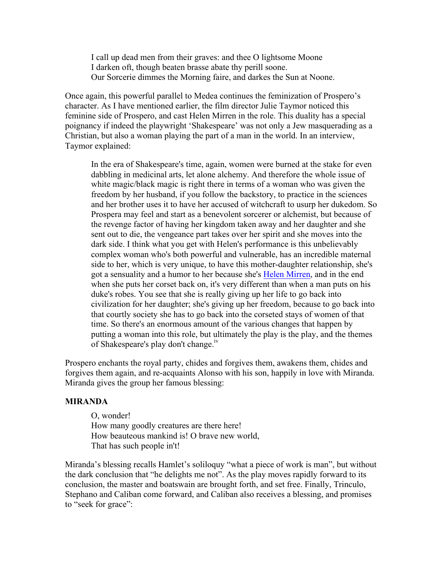I call up dead men from their graves: and thee O lightsome Moone I darken oft, though beaten brasse abate thy perill soone. Our Sorcerie dimmes the Morning faire, and darkes the Sun at Noone.

Once again, this powerful parallel to Medea continues the feminization of Prospero's character. As I have mentioned earlier, the film director Julie Taymor noticed this feminine side of Prospero, and cast Helen Mirren in the role. This duality has a special poignancy if indeed the playwright 'Shakespeare' was not only a Jew masquerading as a Christian, but also a woman playing the part of a man in the world. In an interview, Taymor explained:

In the era of Shakespeare's time, again, women were burned at the stake for even dabbling in medicinal arts, let alone alchemy. And therefore the whole issue of white magic/black magic is right there in terms of a woman who was given the freedom by her husband, if you follow the backstory, to practice in the sciences and her brother uses it to have her accused of witchcraft to usurp her dukedom. So Prospera may feel and start as a benevolent sorcerer or alchemist, but because of the revenge factor of having her kingdom taken away and her daughter and she sent out to die, the vengeance part takes over her spirit and she moves into the dark side. I think what you get with Helen's performance is this unbelievably complex woman who's both powerful and vulnerable, has an incredible maternal side to her, which is very unique, to have this mother-daughter relationship, she's got a sensuality and a humor to her because she's Helen Mirren, and in the end when she puts her corset back on, it's very different than when a man puts on his duke's robes. You see that she is really giving up her life to go back into civilization for her daughter; she's giving up her freedom, because to go back into that courtly society she has to go back into the corseted stays of women of that time. So there's an enormous amount of the various changes that happen by putting a woman into this role, but ultimately the play is the play, and the themes of Shakespeare's play don't change.<sup>iv</sup>

Prospero enchants the royal party, chides and forgives them, awakens them, chides and forgives them again, and re-acquaints Alonso with his son, happily in love with Miranda. Miranda gives the group her famous blessing:

#### **MIRANDA**

O, wonder! How many goodly creatures are there here! How beauteous mankind is! O brave new world, That has such people in't!

Miranda's blessing recalls Hamlet's soliloquy "what a piece of work is man", but without the dark conclusion that "he delights me not". As the play moves rapidly forward to its conclusion, the master and boatswain are brought forth, and set free. Finally, Trinculo, Stephano and Caliban come forward, and Caliban also receives a blessing, and promises to "seek for grace":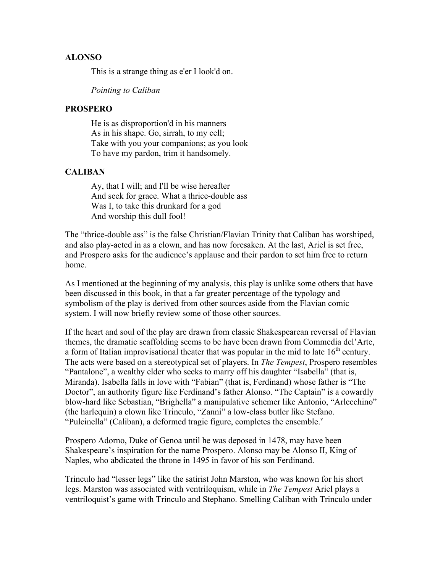#### **ALONSO**

This is a strange thing as e'er I look'd on.

*Pointing to Caliban*

## **PROSPERO**

He is as disproportion'd in his manners As in his shape. Go, sirrah, to my cell; Take with you your companions; as you look To have my pardon, trim it handsomely.

#### **CALIBAN**

Ay, that I will; and I'll be wise hereafter And seek for grace. What a thrice-double ass Was I, to take this drunkard for a god And worship this dull fool!

The "thrice-double ass" is the false Christian/Flavian Trinity that Caliban has worshiped, and also play-acted in as a clown, and has now foresaken. At the last, Ariel is set free, and Prospero asks for the audience's applause and their pardon to set him free to return home.

As I mentioned at the beginning of my analysis, this play is unlike some others that have been discussed in this book, in that a far greater percentage of the typology and symbolism of the play is derived from other sources aside from the Flavian comic system. I will now briefly review some of those other sources.

If the heart and soul of the play are drawn from classic Shakespearean reversal of Flavian themes, the dramatic scaffolding seems to be have been drawn from Commedia del'Arte, a form of Italian improvisational theater that was popular in the mid to late  $16<sup>th</sup>$  century. The acts were based on a stereotypical set of players. In *The Tempest*, Prospero resembles "Pantalone", a wealthy elder who seeks to marry off his daughter "Isabella" (that is, Miranda). Isabella falls in love with "Fabian" (that is, Ferdinand) whose father is "The Doctor", an authority figure like Ferdinand's father Alonso. "The Captain" is a cowardly blow-hard like Sebastian, "Brighella" a manipulative schemer like Antonio, "Arlecchino" (the harlequin) a clown like Trinculo, "Zanni" a low-class butler like Stefano. "Pulcinella" (Caliban), a deformed tragic figure, completes the ensemble. $v$ 

Prospero Adorno, Duke of Genoa until he was deposed in 1478, may have been Shakespeare's inspiration for the name Prospero. Alonso may be Alonso II, King of Naples, who abdicated the throne in 1495 in favor of his son Ferdinand.

Trinculo had "lesser legs" like the satirist John Marston, who was known for his short legs. Marston was associated with ventriloquism, while in *The Tempest* Ariel plays a ventriloquist's game with Trinculo and Stephano. Smelling Caliban with Trinculo under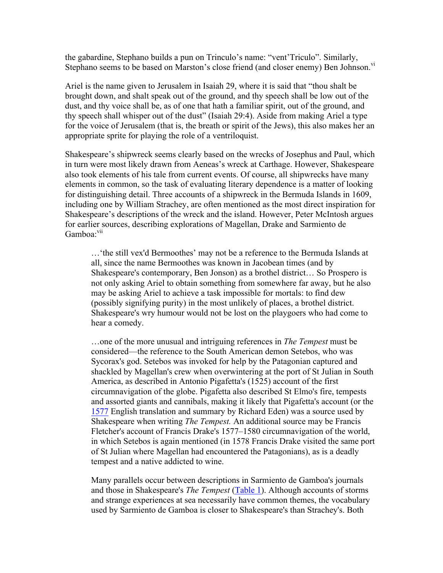the gabardine, Stephano builds a pun on Trinculo's name: "vent'Triculo". Similarly, Stephano seems to be based on Marston's close friend (and closer enemy) Ben Johnson.<sup>vi</sup>

Ariel is the name given to Jerusalem in Isaiah 29, where it is said that "thou shalt be brought down, and shalt speak out of the ground, and thy speech shall be low out of the dust, and thy voice shall be, as of one that hath a familiar spirit, out of the ground, and thy speech shall whisper out of the dust" (Isaiah 29:4). Aside from making Ariel a type for the voice of Jerusalem (that is, the breath or spirit of the Jews), this also makes her an appropriate sprite for playing the role of a ventriloquist.

Shakespeare's shipwreck seems clearly based on the wrecks of Josephus and Paul, which in turn were most likely drawn from Aeneas's wreck at Carthage. However, Shakespeare also took elements of his tale from current events. Of course, all shipwrecks have many elements in common, so the task of evaluating literary dependence is a matter of looking for distinguishing detail. Three accounts of a shipwreck in the Bermuda Islands in 1609, including one by William Strachey, are often mentioned as the most direct inspiration for Shakespeare's descriptions of the wreck and the island. However, Peter McIntosh argues for earlier sources, describing explorations of Magellan, Drake and Sarmiento de Gamboa<sup>-vii</sup>

…'the still vex'd Bermoothes' may not be a reference to the Bermuda Islands at all, since the name Bermoothes was known in Jacobean times (and by Shakespeare's contemporary, Ben Jonson) as a brothel district… So Prospero is not only asking Ariel to obtain something from somewhere far away, but he also may be asking Ariel to achieve a task impossible for mortals: to find dew (possibly signifying purity) in the most unlikely of places, a brothel district. Shakespeare's wry humour would not be lost on the playgoers who had come to hear a comedy.

…one of the more unusual and intriguing references in *The Tempest* must be considered—the reference to the South American demon Setebos, who was Sycorax's god. Setebos was invoked for help by the Patagonian captured and shackled by Magellan's crew when overwintering at the port of St Julian in South America, as described in Antonio Pigafetta's (1525) account of the first circumnavigation of the globe. Pigafetta also described St Elmo's fire, tempests and assorted giants and cannibals, making it likely that Pigafetta's account (or the 1577 English translation and summary by Richard Eden) was a source used by Shakespeare when writing *The Tempest.* An additional source may be Francis Fletcher's account of Francis Drake's 1577–1580 circumnavigation of the world, in which Setebos is again mentioned (in 1578 Francis Drake visited the same port of St Julian where Magellan had encountered the Patagonians), as is a deadly tempest and a native addicted to wine.

Many parallels occur between descriptions in Sarmiento de Gamboa's journals and those in Shakespeare's *The Tempest* (Table 1). Although accounts of storms and strange experiences at sea necessarily have common themes, the vocabulary used by Sarmiento de Gamboa is closer to Shakespeare's than Strachey's. Both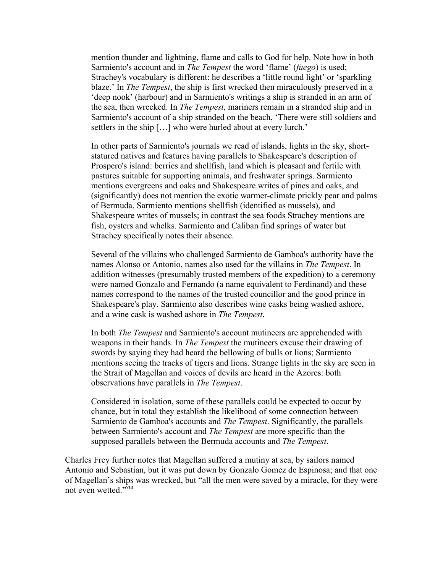mention thunder and lightning, flame and calls to God for help. Note how in both Sarmiento's account and in *The Tempest* the word 'flame' (*fuego*) is used; Strachey's vocabulary is different: he describes a 'little round light' or 'sparkling blaze.' In *The Tempest*, the ship is first wrecked then miraculously preserved in a 'deep nook' (harbour) and in Sarmiento's writings a ship is stranded in an arm of the sea, then wrecked. In *The Tempest*, mariners remain in a stranded ship and in Sarmiento's account of a ship stranded on the beach, 'There were still soldiers and settlers in the ship […] who were hurled about at every lurch.'

In other parts of Sarmiento's journals we read of islands, lights in the sky, shortstatured natives and features having parallels to Shakespeare's description of Prospero's island: berries and shellfish, land which is pleasant and fertile with pastures suitable for supporting animals, and freshwater springs. Sarmiento mentions evergreens and oaks and Shakespeare writes of pines and oaks, and (significantly) does not mention the exotic warmer-climate prickly pear and palms of Bermuda. Sarmiento mentions shellfish (identified as mussels), and Shakespeare writes of mussels; in contrast the sea foods Strachey mentions are fish, oysters and whelks. Sarmiento and Caliban find springs of water but Strachey specifically notes their absence.

Several of the villains who challenged Sarmiento de Gamboa's authority have the names Alonso or Antonio, names also used for the villains in *The Tempest*. In addition witnesses (presumably trusted members of the expedition) to a ceremony were named Gonzalo and Fernando (a name equivalent to Ferdinand) and these names correspond to the names of the trusted councillor and the good prince in Shakespeare's play. Sarmiento also describes wine casks being washed ashore, and a wine cask is washed ashore in *The Tempest*.

In both *The Tempest* and Sarmiento's account mutineers are apprehended with weapons in their hands. In *The Tempest* the mutineers excuse their drawing of swords by saying they had heard the bellowing of bulls or lions; Sarmiento mentions seeing the tracks of tigers and lions. Strange lights in the sky are seen in the Strait of Magellan and voices of devils are heard in the Azores: both observations have parallels in *The Tempest*.

Considered in isolation, some of these parallels could be expected to occur by chance, but in total they establish the likelihood of some connection between Sarmiento de Gamboa's accounts and *The Tempest*. Significantly, the parallels between Sarmiento's account and *The Tempest* are more specific than the supposed parallels between the Bermuda accounts and *The Tempest*.

Charles Frey further notes that Magellan suffered a mutiny at sea, by sailors named Antonio and Sebastian, but it was put down by Gonzalo Gomez de Espinosa; and that one of Magellan's ships was wrecked, but "all the men were saved by a miracle, for they were not even wetted."<sup>viii</sup>